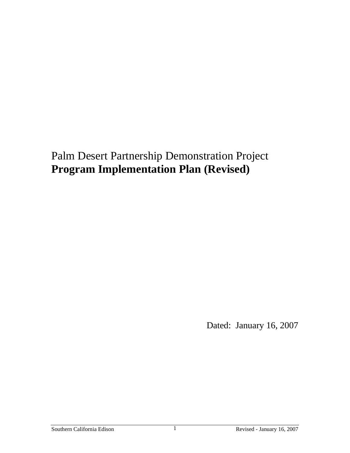# Palm Desert Partnership Demonstration Project **Program Implementation Plan (Revised)**

Dated: January 16, 2007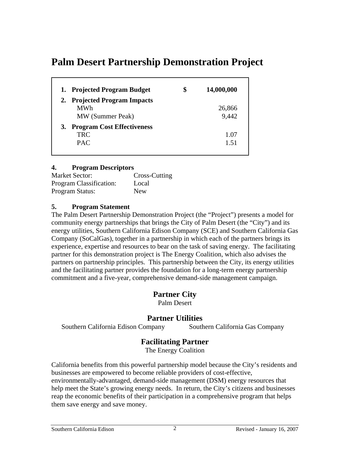## **Palm Desert Partnership Demonstration Project**

| 1. Projected Program Budget   | \$<br>14,000,000 |
|-------------------------------|------------------|
| 2. Projected Program Impacts  |                  |
| MWh                           | 26,866           |
| MW (Summer Peak)              | 9,442            |
| 3. Program Cost Effectiveness |                  |
| TRC                           | 1.07             |
| <b>PAC</b>                    | 151              |

#### **4. Program Descriptors**

| <b>Market Sector:</b>   | Cross-Cutting |
|-------------------------|---------------|
| Program Classification: | Local         |
| Program Status:         | <b>New</b>    |

#### **5. Program Statement**

The Palm Desert Partnership Demonstration Project (the "Project") presents a model for community energy partnerships that brings the City of Palm Desert (the "City") and its energy utilities, Southern California Edison Company (SCE) and Southern California Gas Company (SoCalGas), together in a partnership in which each of the partners brings its experience, expertise and resources to bear on the task of saving energy. The facilitating partner for this demonstration project is The Energy Coalition, which also advises the partners on partnership principles. This partnership between the City, its energy utilities and the facilitating partner provides the foundation for a long-term energy partnership commitment and a five-year, comprehensive demand-side management campaign.

## **Partner City**

Palm Desert

## **Partner Utilities**

Southern California Edison Company Southern California Gas Company

## **Facilitating Partner**

The Energy Coalition

California benefits from this powerful partnership model because the City's residents and businesses are empowered to become reliable providers of cost-effective, environmentally-advantaged, demand-side management (DSM) energy resources that help meet the State's growing energy needs. In return, the City's citizens and businesses reap the economic benefits of their participation in a comprehensive program that helps them save energy and save money.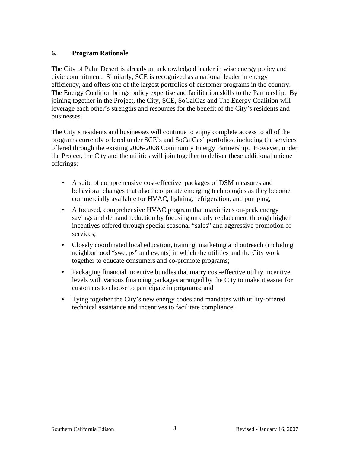## **6. Program Rationale**

The City of Palm Desert is already an acknowledged leader in wise energy policy and civic commitment. Similarly, SCE is recognized as a national leader in energy efficiency, and offers one of the largest portfolios of customer programs in the country. The Energy Coalition brings policy expertise and facilitation skills to the Partnership. By joining together in the Project, the City, SCE, SoCalGas and The Energy Coalition will leverage each other's strengths and resources for the benefit of the City's residents and businesses.

The City's residents and businesses will continue to enjoy complete access to all of the programs currently offered under SCE's and SoCalGas' portfolios, including the services offered through the existing 2006-2008 Community Energy Partnership. However, under the Project, the City and the utilities will join together to deliver these additional unique offerings:

- A suite of comprehensive cost-effective packages of DSM measures and behavioral changes that also incorporate emerging technologies as they become commercially available for HVAC, lighting, refrigeration, and pumping;
- A focused, comprehensive HVAC program that maximizes on-peak energy savings and demand reduction by focusing on early replacement through higher incentives offered through special seasonal "sales" and aggressive promotion of services;
- Closely coordinated local education, training, marketing and outreach (including neighborhood "sweeps" and events) in which the utilities and the City work together to educate consumers and co-promote programs;
- Packaging financial incentive bundles that marry cost-effective utility incentive levels with various financing packages arranged by the City to make it easier for customers to choose to participate in programs; and
- Tying together the City's new energy codes and mandates with utility-offered technical assistance and incentives to facilitate compliance.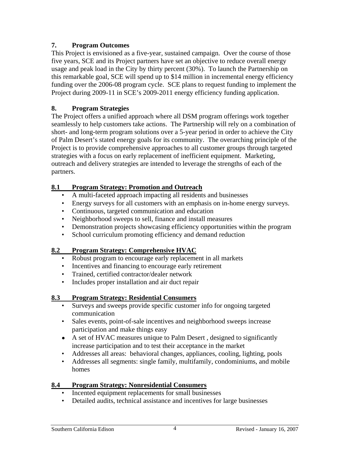## **7. Program Outcomes**

This Project is envisioned as a five-year, sustained campaign. Over the course of those five years, SCE and its Project partners have set an objective to reduce overall energy usage and peak load in the City by thirty percent (30%). To launch the Partnership on this remarkable goal, SCE will spend up to \$14 million in incremental energy efficiency funding over the 2006-08 program cycle. SCE plans to request funding to implement the Project during 2009-11 in SCE's 2009-2011 energy efficiency funding application.

## **8. Program Strategies**

The Project offers a unified approach where all DSM program offerings work together seamlessly to help customers take actions. The Partnership will rely on a combination of short- and long-term program solutions over a 5-year period in order to achieve the City of Palm Desert's stated energy goals for its community. The overarching principle of the Project is to provide comprehensive approaches to all customer groups through targeted strategies with a focus on early replacement of inefficient equipment. Marketing, outreach and delivery strategies are intended to leverage the strengths of each of the partners.

## **8.1 Program Strategy: Promotion and Outreach**

- A multi-faceted approach impacting all residents and businesses
- Energy surveys for all customers with an emphasis on in-home energy surveys.
- Continuous, targeted communication and education
- Neighborhood sweeps to sell, finance and install measures
- Demonstration projects showcasing efficiency opportunities within the program
- School curriculum promoting efficiency and demand reduction

## **8.2 Program Strategy: Comprehensive HVAC**

- Robust program to encourage early replacement in all markets
- Incentives and financing to encourage early retirement
- Trained, certified contractor/dealer network
- Includes proper installation and air duct repair

## **8.3 Program Strategy: Residential Consumers**

- Surveys and sweeps provide specific customer info for ongoing targeted communication
- Sales events, point-of-sale incentives and neighborhood sweeps increase participation and make things easy
- A set of HVAC measures unique to Palm Desert, designed to significantly increase participation and to test their acceptance in the market
- Addresses all areas: behavioral changes, appliances, cooling, lighting, pools
- Addresses all segments: single family, multifamily, condominiums, and mobile homes

## **8.4 Program Strategy: Nonresidential Consumers**

- Incented equipment replacements for small businesses
- Detailed audits, technical assistance and incentives for large businesses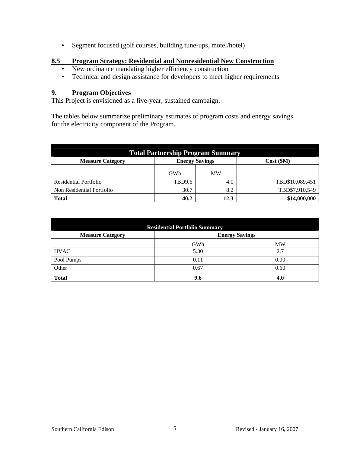• Segment focused (golf courses, building tune-ups, motel/hotel)

#### **8.5 Program Strategy: Residential and Nonresidential New Construction**

- New ordinance mandating higher efficiency construction
- Technical and design assistance for developers to meet higher requirements

#### **9. Program Objectives**

This Project is envisioned as a five-year, sustained campaign.

The tables below summarize preliminary estimates of program costs and energy savings for the electricity component of the Program.

| <b>Total Partnership Program Summary</b> |                       |      |                 |
|------------------------------------------|-----------------------|------|-----------------|
| <b>Measure Category</b>                  | <b>Energy Savings</b> |      | Cost (\$M)      |
|                                          | GWh                   | MW   |                 |
| Residential Portfolio                    | TBD9.6                | 4.0  | TBD\$10,089,451 |
| Non Residential Portfolio                | 30.7                  | 8.2  | TBD\$7,910,549  |
| <b>Total</b>                             | 40.2                  | 12.3 | \$14,000,000    |

| <b>Residential Portfolio Summary</b> |                       |           |  |
|--------------------------------------|-----------------------|-----------|--|
| <b>Measure Category</b>              | <b>Energy Savings</b> |           |  |
|                                      | GWh                   | <b>MW</b> |  |
| <b>HVAC</b>                          | 5.30                  | 2.7       |  |
| Pool Pumps                           | 0.11                  | 0.00      |  |
| Other                                | 0.67                  | 0.60      |  |
| <b>Total</b>                         | 9.6                   | 4.0       |  |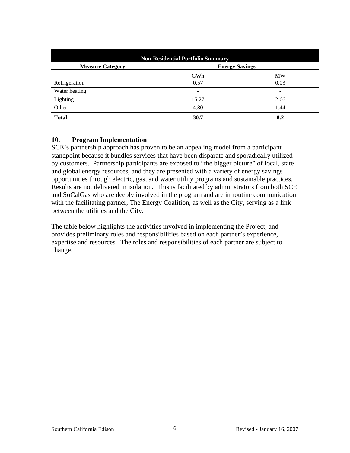| <b>Non-Residential Portfolio Summary</b> |                       |           |  |
|------------------------------------------|-----------------------|-----------|--|
| <b>Measure Category</b>                  | <b>Energy Savings</b> |           |  |
|                                          | GWh                   | <b>MW</b> |  |
| Refrigeration                            | 0.57                  | 0.03      |  |
| Water heating                            |                       | -         |  |
| Lighting                                 | 15.27                 | 2.66      |  |
| Other                                    | 4.80                  | 1.44      |  |
| <b>Total</b>                             | 30.7                  | 8.2       |  |

#### **10. Program Implementation**

SCE's partnership approach has proven to be an appealing model from a participant standpoint because it bundles services that have been disparate and sporadically utilized by customers. Partnership participants are exposed to "the bigger picture" of local, state and global energy resources, and they are presented with a variety of energy savings opportunities through electric, gas, and water utility programs and sustainable practices. Results are not delivered in isolation. This is facilitated by administrators from both SCE and SoCalGas who are deeply involved in the program and are in routine communication with the facilitating partner, The Energy Coalition, as well as the City, serving as a link between the utilities and the City.

The table below highlights the activities involved in implementing the Project, and provides preliminary roles and responsibilities based on each partner's experience, expertise and resources. The roles and responsibilities of each partner are subject to change.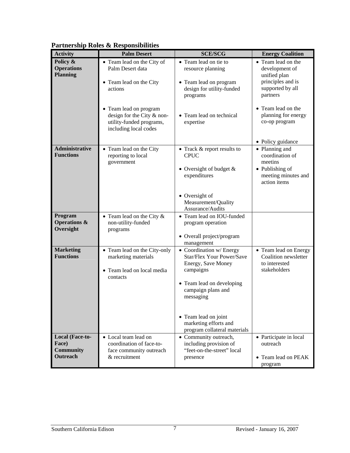| <b>Activity</b>              | I at the simp Kotes & Kesponsionities<br><b>Palm Desert</b> | <b>SCE/SCG</b>                         | <b>Energy Coalition</b>              |
|------------------------------|-------------------------------------------------------------|----------------------------------------|--------------------------------------|
| Policy &                     |                                                             | • Team lead on tie to                  | • Team lead on the                   |
| <b>Operations</b>            | • Team lead on the City of<br>Palm Desert data              | resource planning                      | development of                       |
| <b>Planning</b>              |                                                             |                                        | unified plan                         |
|                              | • Team lead on the City                                     | • Team lead on program                 | principles and is                    |
|                              | actions                                                     | design for utility-funded              | supported by all                     |
|                              |                                                             | programs                               | partners                             |
|                              |                                                             |                                        |                                      |
|                              | • Team lead on program                                      |                                        | • Team lead on the                   |
|                              | design for the City & non-<br>utility-funded programs,      | • Team lead on technical<br>expertise  | planning for energy<br>co-op program |
|                              | including local codes                                       |                                        |                                      |
|                              |                                                             |                                        |                                      |
|                              |                                                             |                                        | • Policy guidance                    |
| <b>Administrative</b>        | • Team lead on the City                                     | • Track & report results to            | • Planning and                       |
| <b>Functions</b>             | reporting to local                                          | <b>CPUC</b>                            | coordination of                      |
|                              | government                                                  |                                        | meetins                              |
|                              |                                                             | • Oversight of budget $&$              | • Publishing of                      |
|                              |                                                             | expenditures                           | meeting minutes and<br>action items  |
|                              |                                                             |                                        |                                      |
|                              |                                                             | • Oversight of                         |                                      |
|                              |                                                             | Measurement/Quality                    |                                      |
|                              |                                                             | Assurance/Audits                       |                                      |
| Program                      | • Team lead on the City $&$                                 | • Team lead on IOU-funded              |                                      |
| <b>Operations &amp;</b>      | non-utility-funded                                          | program operation                      |                                      |
| Oversight                    | programs                                                    |                                        |                                      |
|                              |                                                             | • Overall project/program              |                                      |
| <b>Marketing</b>             | • Team lead on the City-only                                | management<br>• Coordination w/ Energy | • Team lead on Energy                |
| <b>Functions</b>             | marketing materials                                         | Star/Flex Your Power/Save              | Coalition newsletter                 |
|                              |                                                             | Energy, Save Money                     | to interested                        |
|                              | • Team lead on local media                                  | campaigns                              | stakeholders                         |
|                              | contacts                                                    |                                        |                                      |
|                              |                                                             | • Team lead on developing              |                                      |
|                              |                                                             | campaign plans and                     |                                      |
|                              |                                                             | messaging                              |                                      |
|                              |                                                             |                                        |                                      |
|                              |                                                             | • Team lead on joint                   |                                      |
|                              |                                                             | marketing efforts and                  |                                      |
|                              |                                                             | program collateral materials           |                                      |
| Local (Face-to-              | • Local team lead on                                        | • Community outreach,                  | • Participate in local               |
| Face)                        | coordination of face-to-                                    | including provision of                 | outreach                             |
| <b>Community</b><br>Outreach | face community outreach<br>& recruitment                    | "feet-on-the-street" local             |                                      |
|                              |                                                             | presence                               | • Team lead on PEAK                  |
|                              |                                                             |                                        | program                              |

## **Partnership Roles & Responsibilities**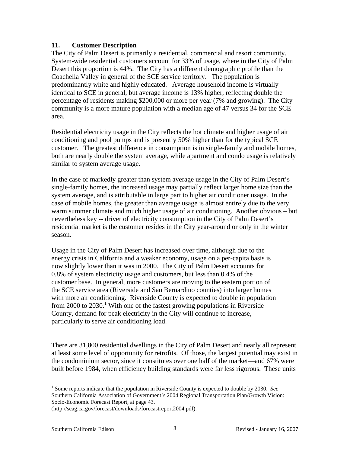#### **11. Customer Description**

The City of Palm Desert is primarily a residential, commercial and resort community. System-wide residential customers account for 33% of usage, where in the City of Palm Desert this proportion is 44%. The City has a different demographic profile than the Coachella Valley in general of the SCE service territory. The population is predominantly white and highly educated. Average household income is virtually identical to SCE in general, but average income is 13% higher, reflecting double the percentage of residents making \$200,000 or more per year (7% and growing). The City community is a more mature population with a median age of 47 versus 34 for the SCE area.

Residential electricity usage in the City reflects the hot climate and higher usage of air conditioning and pool pumps and is presently 50% higher than for the typical SCE customer. The greatest difference in consumption is in single-family and mobile homes, both are nearly double the system average, while apartment and condo usage is relatively similar to system average usage.

In the case of markedly greater than system average usage in the City of Palm Desert's single-family homes, the increased usage may partially reflect larger home size than the system average, and is attributable in large part to higher air conditioner usage. In the case of mobile homes, the greater than average usage is almost entirely due to the very warm summer climate and much higher usage of air conditioning. Another obvious – but nevertheless key -- driver of electricity consumption in the City of Palm Desert's residential market is the customer resides in the City year-around or only in the winter season.

Usage in the City of Palm Desert has increased over time, although due to the energy crisis in California and a weaker economy, usage on a per-capita basis is now slightly lower than it was in 2000. The City of Palm Desert accounts for 0.8% of system electricity usage and customers, but less than 0.4% of the customer base. In general, more customers are moving to the eastern portion of the SCE service area (Riverside and San Bernardino counties) into larger homes with more air conditioning. Riverside County is expected to double in population from 2000 to 2030.<sup>1</sup> With one of the fastest growing populations in Riverside County, demand for peak electricity in the City will continue to increase, particularly to serve air conditioning load.

There are 31,800 residential dwellings in the City of Palm Desert and nearly all represent at least some level of opportunity for retrofits. Of those, the largest potential may exist in the condominium sector, since it constitutes over one half of the market—and 67% were built before 1984, when efficiency building standards were far less rigorous. These units

 $\overline{a}$ <sup>1</sup> Some reports indicate that the population in Riverside County is expected to double by 2030. See Southern California Association of Government's 2004 Regional Transportation Plan/Growth Vision: Socio-Economic Forecast Report, at page 43.

<sup>(</sup>http://scag.ca.gov/forecast/downloads/forecastreport2004.pdf).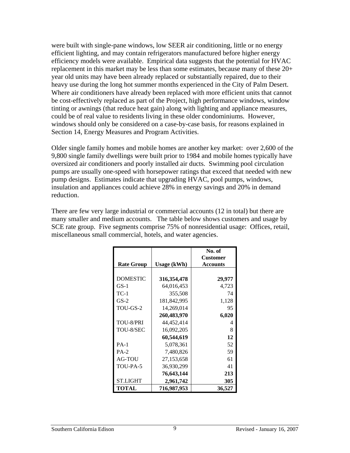were built with single-pane windows, low SEER air conditioning, little or no energy efficient lighting, and may contain refrigerators manufactured before higher energy efficiency models were available. Empirical data suggests that the potential for HVAC replacement in this market may be less than some estimates, because many of these 20+ year old units may have been already replaced or substantially repaired, due to their heavy use during the long hot summer months experienced in the City of Palm Desert. Where air conditioners have already been replaced with more efficient units that cannot be cost-effectively replaced as part of the Project, high performance windows, window tinting or awnings (that reduce heat gain) along with lighting and appliance measures, could be of real value to residents living in these older condominiums. However, windows should only be considered on a case-by-case basis, for reasons explained in Section 14, Energy Measures and Program Activities.

Older single family homes and mobile homes are another key market: over 2,600 of the 9,800 single family dwellings were built prior to 1984 and mobile homes typically have oversized air conditioners and poorly installed air ducts. Swimming pool circulation pumps are usually one-speed with horsepower ratings that exceed that needed with new pump designs. Estimates indicate that upgrading HVAC, pool pumps, windows, insulation and appliances could achieve 28% in energy savings and 20% in demand reduction.

There are few very large industrial or commercial accounts (12 in total) but there are many smaller and medium accounts. The table below shows customers and usage by SCE rate group. Five segments comprise 75% of nonresidential usage: Offices, retail, miscellaneous small commercial, hotels, and water agencies.

| <b>Rate Group</b> | <b>Usage (kWh)</b> | No. of<br><b>Customer</b><br><b>Accounts</b> |
|-------------------|--------------------|----------------------------------------------|
|                   |                    |                                              |
| <b>DOMESTIC</b>   | 316, 354, 478      | 29,977                                       |
| $GS-1$            | 64,016,453         | 4,723                                        |
| $TC-1$            | 355,508            | 74                                           |
| $GS-2$            | 181,842,995        | 1,128                                        |
| TOU-GS-2          | 14,269,014         | 95                                           |
|                   | 260,483,970        | 6,020                                        |
| TOU-8/PRI         | 44,452,414         | 4                                            |
| TOU-8/SEC         | 16,092,205         | 8                                            |
|                   | 60,544,619         | 12                                           |
| $PA-1$            | 5,078,361          | 52                                           |
| $PA-2$            | 7,480,826          | 59                                           |
| AG-TOU            | 27,153,658         | 61                                           |
| TOU-PA-5          | 36,930,299         | 41                                           |
|                   | 76,643,144         | 213                                          |
| <b>ST.LIGHT</b>   | 2,961,742          | 305                                          |
| <b>TOTAL</b>      | 716,987,953        | 36,527                                       |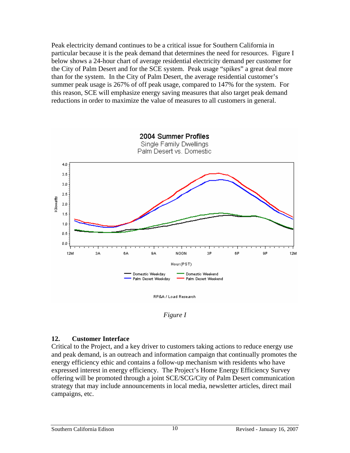Peak electricity demand continues to be a critical issue for Southern California in particular because it is the peak demand that determines the need for resources. Figure I below shows a 24-hour chart of average residential electricity demand per customer for the City of Palm Desert and for the SCE system. Peak usage "spikes" a great deal more than for the system. In the City of Palm Desert, the average residential customer's summer peak usage is 267% of off peak usage, compared to 147% for the system. For this reason, SCE will emphasize energy saving measures that also target peak demand reductions in order to maximize the value of measures to all customers in general.



*Figure I* 

## **12. Customer Interface**

Critical to the Project, and a key driver to customers taking actions to reduce energy use and peak demand, is an outreach and information campaign that continually promotes the energy efficiency ethic and contains a follow-up mechanism with residents who have expressed interest in energy efficiency. The Project's Home Energy Efficiency Survey offering will be promoted through a joint SCE/SCG/City of Palm Desert communication strategy that may include announcements in local media, newsletter articles, direct mail campaigns, etc.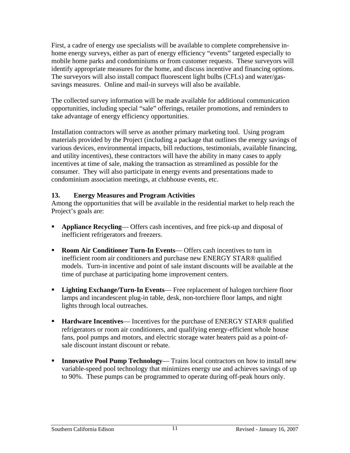First, a cadre of energy use specialists will be available to complete comprehensive inhome energy surveys, either as part of energy efficiency "events" targeted especially to mobile home parks and condominiums or from customer requests. These surveyors will identify appropriate measures for the home, and discuss incentive and financing options. The surveyors will also install compact fluorescent light bulbs (CFLs) and water/gassavings measures. Online and mail-in surveys will also be available.

The collected survey information will be made available for additional communication opportunities, including special "sale" offerings, retailer promotions, and reminders to take advantage of energy efficiency opportunities.

Installation contractors will serve as another primary marketing tool. Using program materials provided by the Project (including a package that outlines the energy savings of various devices, environmental impacts, bill reductions, testimonials, available financing, and utility incentives), these contractors will have the ability in many cases to apply incentives at time of sale, making the transaction as streamlined as possible for the consumer. They will also participate in energy events and presentations made to condominium association meetings, at clubhouse events, etc.

## **13. Energy Measures and Program Activities**

Among the opportunities that will be available in the residential market to help reach the Project's goals are:

- **Appliance Recycling** Offers cash incentives, and free pick-up and disposal of inefficient refrigerators and freezers.
- **Room Air Conditioner Turn-In Events** Offers cash incentives to turn in inefficient room air conditioners and purchase new ENERGY STAR® qualified models. Turn-in incentive and point of sale instant discounts will be available at the time of purchase at participating home improvement centers.
- **Lighting Exchange/Turn-In Events** Free replacement of halogen torchiere floor lamps and incandescent plug-in table, desk, non-torchiere floor lamps, and night lights through local outreaches.
- **Hardware Incentives** Incentives for the purchase of ENERGY STAR<sup>®</sup> qualified refrigerators or room air conditioners, and qualifying energy-efficient whole house fans, pool pumps and motors, and electric storage water heaters paid as a point-ofsale discount instant discount or rebate.
- **Innovative Pool Pump Technology—** Trains local contractors on how to install new variable-speed pool technology that minimizes energy use and achieves savings of up to 90%. These pumps can be programmed to operate during off-peak hours only.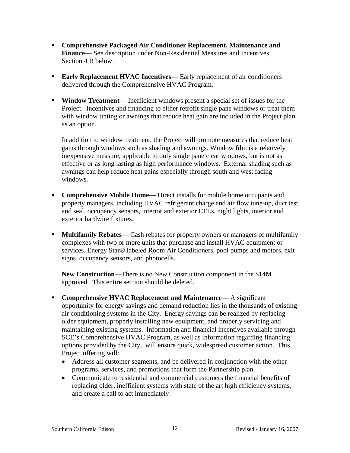- **Comprehensive Packaged Air Conditioner Replacement, Maintenance and**  Finance— See description under Non-Residential Measures and Incentives, Section 4 B below.
- **Early Replacement HVAC Incentives** Early replacement of air conditioners delivered through the Comprehensive HVAC Program.
- **Window Treatment** Inefficient windows present a special set of issues for the Project. Incentives and financing to either retrofit single pane windows or treat them with window tinting or awnings that reduce heat gain are included in the Project plan as an option.

In addition to window treatment, the Project will promote measures that reduce heat gains through windows such as shading and awnings. Window film is a relatively inexpensive measure, applicable to only single pane clear windows, but is not as effective or as long lasting as high performance windows. External shading such as awnings can help reduce heat gains especially through south and west facing windows.

- **Comprehensive Mobile Home** Direct installs for mobile home occupants and property managers, including HVAC refrigerant charge and air flow tune-up, duct test and seal, occupancy sensors, interior and exterior CFLs, night lights, interior and exterior hardwire fixtures.
- **Multifamily Rebates** Cash rebates for property owners or managers of multifamily complexes with two or more units that purchase and install HVAC equipment or services, Energy Star® labeled Room Air Conditioners, pool pumps and motors, exit signs, occupancy sensors, and photocells.

**New Construction**—There is no New Construction component in the \$14M approved. This entire section should be deleted.

- **Comprehensive HVAC Replacement and Maintenance** A significant opportunity for energy savings and demand reduction lies in the thousands of existing air conditioning systems in the City. Energy savings can be realized by replacing older equipment, properly installing new equipment, and properly servicing and maintaining existing systems. Information and financial incentives available through SCE's Comprehensive HVAC Program, as well as information regarding financing options provided by the City, will ensure quick, widespread customer action. This Project offering will:
	- Address all customer segments, and be delivered in conjunction with the other programs, services, and promotions that form the Partnership plan.
	- Communicate to residential and commercial customers the financial benefits of replacing older, inefficient systems with state of the art high efficiency systems, and create a call to act immediately.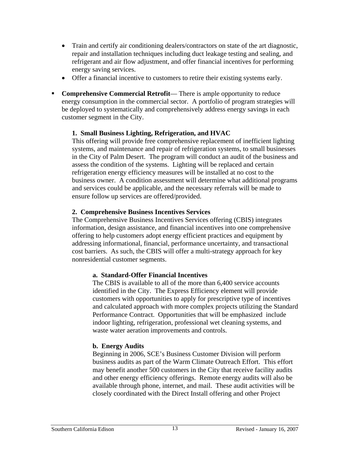- Train and certify air conditioning dealers/contractors on state of the art diagnostic, repair and installation techniques including duct leakage testing and sealing, and refrigerant and air flow adjustment, and offer financial incentives for performing energy saving services.
- Offer a financial incentive to customers to retire their existing systems early.
- **Comprehensive Commercial Retrofit—** There is ample opportunity to reduce energy consumption in the commercial sector. A portfolio of program strategies will be deployed to systematically and comprehensively address energy savings in each customer segment in the City.

## **1. Small Business Lighting, Refrigeration, and HVAC**

This offering will provide free comprehensive replacement of inefficient lighting systems, and maintenance and repair of refrigeration systems, to small businesses in the City of Palm Desert. The program will conduct an audit of the business and assess the condition of the systems. Lighting will be replaced and certain refrigeration energy efficiency measures will be installed at no cost to the business owner. A condition assessment will determine what additional programs and services could be applicable, and the necessary referrals will be made to ensure follow up services are offered/provided.

## **2. Comprehensive Business Incentives Services**

The Comprehensive Business Incentives Services offering (CBIS) integrates information, design assistance, and financial incentives into one comprehensive offering to help customers adopt energy efficient practices and equipment by addressing informational, financial, performance uncertainty, and transactional cost barriers. As such, the CBIS will offer a multi-strategy approach for key nonresidential customer segments.

## **a. Standard-Offer Financial Incentives**

The CBIS is available to all of the more than 6,400 service accounts identified in the City. The Express Efficiency element will provide customers with opportunities to apply for prescriptive type of incentives and calculated approach with more complex projects utilizing the Standard Performance Contract. Opportunities that will be emphasized include indoor lighting, refrigeration, professional wet cleaning systems, and waste water aeration improvements and controls.

## **b. Energy Audits**

Beginning in 2006, SCE's Business Customer Division will perform business audits as part of the Warm Climate Outreach Effort. This effort may benefit another 500 customers in the City that receive facility audits and other energy efficiency offerings. Remote energy audits will also be available through phone, internet, and mail. These audit activities will be closely coordinated with the Direct Install offering and other Project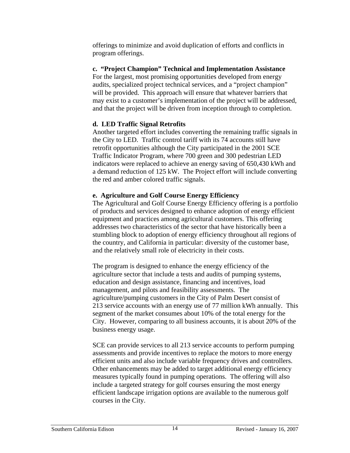offerings to minimize and avoid duplication of efforts and conflicts in program offerings.

## **c. "Project Champion" Technical and Implementation Assistance**

For the largest, most promising opportunities developed from energy audits, specialized project technical services, and a "project champion" will be provided. This approach will ensure that whatever barriers that may exist to a customer's implementation of the project will be addressed, and that the project will be driven from inception through to completion.

## **d. LED Traffic Signal Retrofits**

Another targeted effort includes converting the remaining traffic signals in the City to LED. Traffic control tariff with its 74 accounts still have retrofit opportunities although the City participated in the 2001 SCE Traffic Indicator Program, where 700 green and 300 pedestrian LED indicators were replaced to achieve an energy saving of 650,430 kWh and a demand reduction of 125 kW. The Project effort will include converting the red and amber colored traffic signals.

## **e. Agriculture and Golf Course Energy Efficiency**

The Agricultural and Golf Course Energy Efficiency offering is a portfolio of products and services designed to enhance adoption of energy efficient equipment and practices among agricultural customers. This offering addresses two characteristics of the sector that have historically been a stumbling block to adoption of energy efficiency throughout all regions of the country, and California in particular: diversity of the customer base, and the relatively small role of electricity in their costs.

The program is designed to enhance the energy efficiency of the agriculture sector that include a tests and audits of pumping systems, education and design assistance, financing and incentives, load management, and pilots and feasibility assessments. The agriculture/pumping customers in the City of Palm Desert consist of 213 service accounts with an energy use of 77 million kWh annually. This segment of the market consumes about 10% of the total energy for the City. However, comparing to all business accounts, it is about 20% of the business energy usage.

SCE can provide services to all 213 service accounts to perform pumping assessments and provide incentives to replace the motors to more energy efficient units and also include variable frequency drives and controllers. Other enhancements may be added to target additional energy efficiency measures typically found in pumping operations. The offering will also include a targeted strategy for golf courses ensuring the most energy efficient landscape irrigation options are available to the numerous golf courses in the City.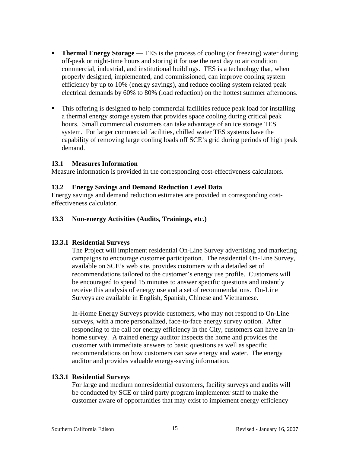- **Thermal Energy Storage** TES is the process of cooling (or freezing) water during off-peak or night-time hours and storing it for use the next day to air condition commercial, industrial, and institutional buildings. TES is a technology that, when properly designed, implemented, and commissioned, can improve cooling system efficiency by up to 10% (energy savings), and reduce cooling system related peak electrical demands by 60% to 80% (load reduction) on the hottest summer afternoons.
- This offering is designed to help commercial facilities reduce peak load for installing a thermal energy storage system that provides space cooling during critical peak hours. Small commercial customers can take advantage of an ice storage TES system. For larger commercial facilities, chilled water TES systems have the capability of removing large cooling loads off SCE's grid during periods of high peak demand.

#### **13.1 Measures Information**

Measure information is provided in the corresponding cost-effectiveness calculators.

#### **13.2 Energy Savings and Demand Reduction Level Data**

Energy savings and demand reduction estimates are provided in corresponding costeffectiveness calculator.

#### **13.3 Non-energy Activities (Audits, Trainings, etc.)**

## **13.3.1 Residential Surveys**

The Project will implement residential On-Line Survey advertising and marketing campaigns to encourage customer participation. The residential On-Line Survey, available on SCE's web site, provides customers with a detailed set of recommendations tailored to the customer's energy use profile. Customers will be encouraged to spend 15 minutes to answer specific questions and instantly receive this analysis of energy use and a set of recommendations. On-Line Surveys are available in English, Spanish, Chinese and Vietnamese.

In-Home Energy Surveys provide customers, who may not respond to On-Line surveys, with a more personalized, face-to-face energy survey option. After responding to the call for energy efficiency in the City, customers can have an inhome survey. A trained energy auditor inspects the home and provides the customer with immediate answers to basic questions as well as specific recommendations on how customers can save energy and water. The energy auditor and provides valuable energy-saving information.

## **13.3.1 Residential Surveys**

For large and medium nonresidential customers, facility surveys and audits will be conducted by SCE or third party program implementer staff to make the customer aware of opportunities that may exist to implement energy efficiency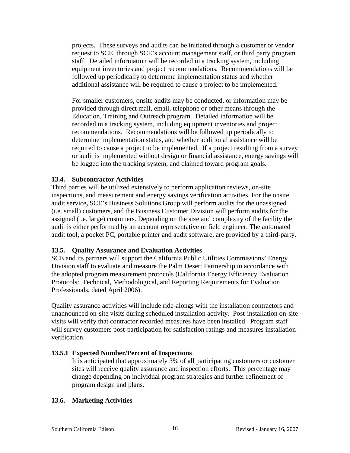projects. These surveys and audits can be initiated through a customer or vendor request to SCE, through SCE's account management staff, or third party program staff. Detailed information will be recorded in a tracking system, including equipment inventories and project recommendations. Recommendations will be followed up periodically to determine implementation status and whether additional assistance will be required to cause a project to be implemented.

For smaller customers, onsite audits may be conducted, or information may be provided through direct mail, email, telephone or other means through the Education, Training and Outreach program. Detailed information will be recorded in a tracking system, including equipment inventories and project recommendations. Recommendations will be followed up periodically to determine implementation status, and whether additional assistance will be required to cause a project to be implemented. If a project resulting from a survey or audit is implemented without design or financial assistance, energy savings will be logged into the tracking system, and claimed toward program goals.

#### **13.4. Subcontractor Activities**

Third parties will be utilized extensively to perform application reviews, on-site inspections, and measurement and energy savings verification activities. For the onsite audit service**,** SCE's Business Solutions Group will perform audits for the unassigned (i.e. small) customers, and the Business Customer Division will perform audits for the assigned (i.e. large) customers. Depending on the size and complexity of the facility the audit is either performed by an account representative or field engineer. The automated audit tool, a pocket PC, portable printer and audit software, are provided by a third-party.

## **13.5. Quality Assurance and Evaluation Activities**

SCE and its partners will support the California Public Utilities Commissions' Energy Division staff to evaluate and measure the Palm Desert Partnership in accordance with the adopted program measurement protocols (California Energy Efficiency Evaluation Protocols: Technical, Methodological, and Reporting Requirements for Evaluation Professionals, dated April 2006).

Quality assurance activities will include ride-alongs with the installation contractors and unannounced on-site visits during scheduled installation activity. Post-installation on-site visits will verify that contractor recorded measures have been installed. Program staff will survey customers post-participation for satisfaction ratings and measures installation verification.

## **13.5.1 Expected Number/Percent of Inspections**

It is anticipated that approximately 3% of all participating customers or customer sites will receive quality assurance and inspection efforts. This percentage may change depending on individual program strategies and further refinement of program design and plans.

#### **13.6. Marketing Activities**